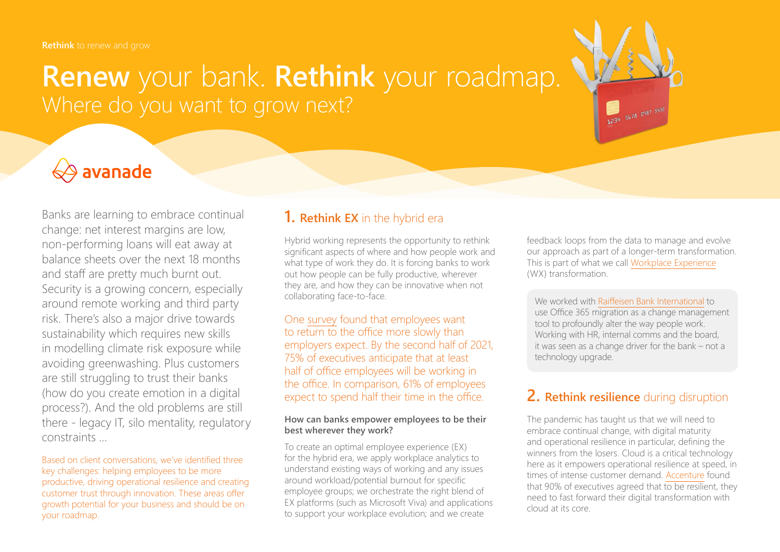# **Renew** your bank. **Rethink** your roadmap. Where do you want to grow next?

# $\Leftrightarrow$  avanade

Banks are learning to embrace continual change: net interest margins are low, non-performing loans will eat away at balance sheets over the next 18 months and staff are pretty much burnt out. Security is a growing concern, especially around remote working and third party risk. There's also a major drive towards sustainability which requires new skills in modelling climate risk exposure while avoiding greenwashing. Plus customers are still struggling to trust their banks (how do you create emotion in a digital process?). And the old problems are still there - legacy IT, silo mentality, regulatory constraints …

Based on client conversations, we've identified three key challenges: helping employees to be more productive, driving operational resilience and creating customer trust through innovation. These areas offer growth potential for your business and should be on your roadmap.

## **1. Rethink EX** in the hybrid era

Hybrid working represents the opportunity to rethink significant aspects of where and how people work and what type of work they do. It is forcing banks to work out how people can be fully productive, wherever they are, and how they can be innovative when not collaborating face-to-face.

One [survey](https://www.pwc.com/us/en/library/covid-19/us-remote-work-survey.html) found that employees want to return to the office more slowly than employers expect. By the second half of 2021, 75% of executives anticipate that at least half of office employees will be working in the office. In comparison, 61% of employees expect to spend half their time in the office.

#### **How can banks empower employees to be their best wherever they work?**

To create an optimal employee experience (EX) for the hybrid era, we apply workplace analytics to understand existing ways of working and any issues around workload/potential burnout for specific employee groups; we orchestrate the right blend of EX platforms (such as Microsoft Viva) and applications to support your workplace evolution; and we create

feedback loops from the data to manage and evolve our approach as part of a longer-term transformation. This is part of what we call [Workplace Experience](https://www.avanade.com/en-gb/thinking/workplace-experience) (WX) transformation.

31234 5678 0987 5432

We worked with [Raiffeisen Bank International](https://www.avanade.com/en-gb/clients/raiffeisen-bank-international) to use Office 365 migration as a change management tool to profoundly alter the way people work. Working with HR, internal comms and the board, it was seen as a change driver for the bank – not a technology upgrade.

# **2. Rethink resilience** during disruption

The pandemic has taught us that we will need to embrace continual change, with digital maturity and operational resilience in particular, defining the winners from the losers. Cloud is a critical technology here as it empowers operational resilience at speed, in times of intense customer demand. [Accenture](https://www.accenture.com/gb-en/insights/technology/technology-trends-2021?c=acn_gb_technologyvisiogoogle_11981236&n=psgs_0221&gclid=CjwKCAjwruSHBhAtEiwA_qCppvTxekGFyZ4_cv6NIkHquU529prlj8UFJvTa-rFwhr5N7qFqllnF8hoC_5IQAvD_BwE) found that 90% of executives agreed that to be resilient, they need to fast forward their digital transformation with cloud at its core.